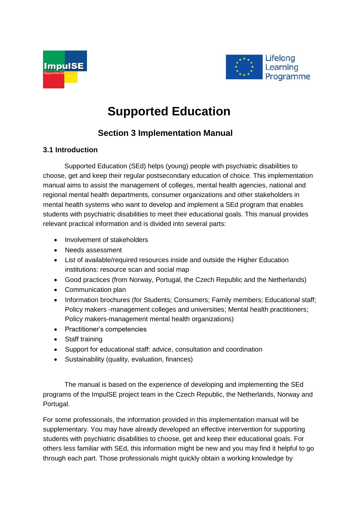



## **Supported Education**

## **Section 3 Implementation Manual**

## **3.1 Introduction**

Supported Education (SEd) helps (young) people with psychiatric disabilities to choose, get and keep their regular postsecondary education of choice. This implementation manual aims to assist the management of colleges, mental health agencies, national and regional mental health departments, consumer organizations and other stakeholders in mental health systems who want to develop and implement a SEd program that enables students with psychiatric disabilities to meet their educational goals. This manual provides relevant practical information and is divided into several parts:

- Involvement of stakeholders
- Needs assessment
- List of available/required resources inside and outside the Higher Education institutions: resource scan and social map
- Good practices (from Norway, Portugal, the Czech Republic and the Netherlands)
- Communication plan
- Information brochures (for Students; Consumers; Family members; Educational staff; Policy makers -management colleges and universities; Mental health practitioners; Policy makers-management mental health organizations)
- Practitioner's competencies
- Staff training
- Support for educational staff: advice, consultation and coordination
- Sustainability (quality, evaluation, finances)

The manual is based on the experience of developing and implementing the SEd programs of the ImpulSE project team in the Czech Republic, the Netherlands, Norway and Portugal.

For some professionals, the information provided in this implementation manual will be supplementary. You may have already developed an effective intervention for supporting students with psychiatric disabilities to choose, get and keep their educational goals. For others less familiar with SEd, this information might be new and you may find it helpful to go through each part. Those professionals might quickly obtain a working knowledge by